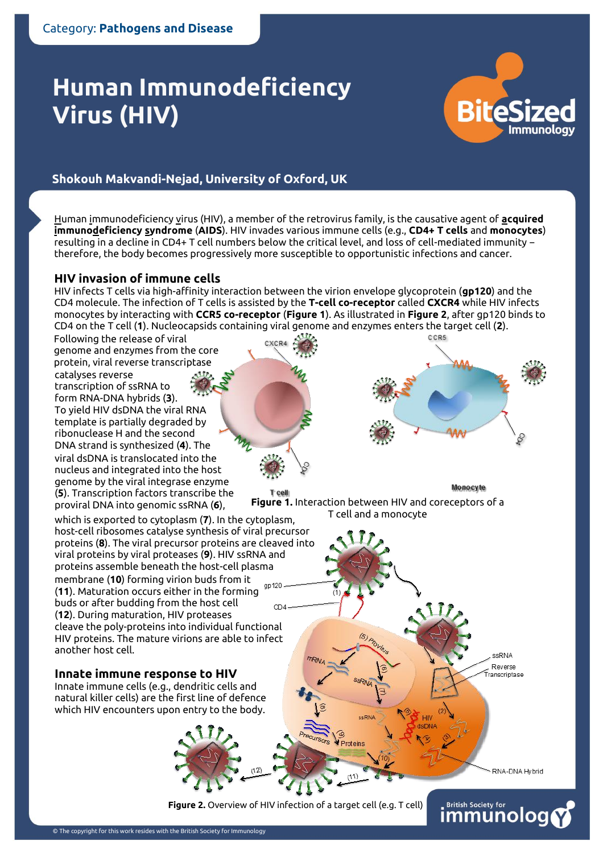# **Human Immunodeficiency Virus (HIV)**



# Melissa Bedard, MRC Human Immunology Unit, University of Oxford **Shokouh Makvandi-Nejad, University of Oxford, UK**

Human immunodeficiency virus (HIV), a member of the retrovirus family, is the causative agent of **acquired immunodeficiency syndrome** (**AIDS**). HIV invades various immune cells (e.g., **CD4+ T cells** and **monocytes**) resulting in a decline in CD4+ T cell numbers below the critical level, and loss of cell-mediated immunity − therefore, the body becomes progressively more susceptible to opportunistic infections and cancer.

## **HIV invasion of immune cells**

HIV infects T cells via high-affinity interaction between the virion envelope glycoprotein (**gp120**) and the CD4 molecule. The infection of T cells is assisted by the **T-cell co-receptor** called **CXCR4** while HIV infects monocytes by interacting with **CCR5 co-receptor** (**Figure 1**). As illustrated in **Figure 2**, after gp120 binds to CD4 on the T cell (**1**). Nucleocapsids containing viral genome and enzymes enters the target cell (**2**).

CXCR4

Following the release of viral genome and enzymes from the core protein, viral reverse transcriptase catalyses reverse transcription of ssRNA to form RNA-DNA hybrids (**3**). To yield HIV dsDNA the viral RNA template is partially degraded by ribonuclease H and the second DNA strand is synthesized (**4**). The viral dsDNA is translocated into the nucleus and integrated into the host genome by the viral integrase enzyme (**5**). Transcription factors transcribe the proviral DNA into genomic ssRNA (**6**),



Monocyte

**Figure 1.** Interaction between HIV and coreceptors of a T cell and a monocyte



## **Innate immune response to HIV**

Innate immune cells (e.g., dendritic cells and natural killer cells) are the first line of defence which HIV encounters upon entry to the body.



**Figure 2.** Overview of HIV infection of a target cell (e.g. T cell)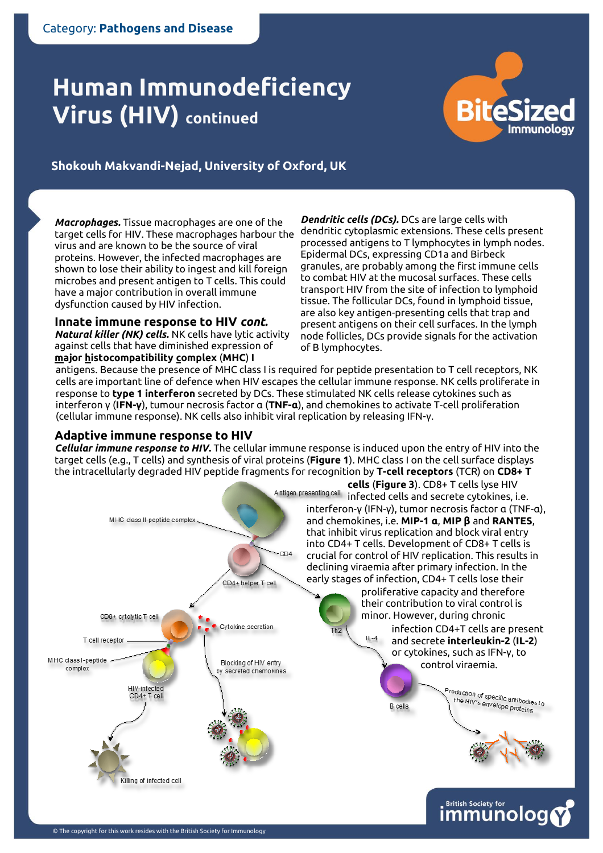# **Virus (HIV) continued**



Shokouh Makvandi-Nejad, University of Oxford, UK<br>.

*Macrophages.* Tissue macrophages are one of the virus and are known to be the source of viral proteins. However, the infected macrophages are shown to lose their ability to ingest and kill foreign microbes and present antigen to T cells. This could have a major contribution in overall immune dysfunction caused by HIV infection.

**Innate immune response to HIV** *cont.*

*Natural killer (NK) cells.* NK cells have lytic activity against cells that have diminished expression of **major histocompatibility complex** (**MHC**) **I**

target cells for HIV. These macrophages harbour the dendritic cytoplasmic extensions. These cells present *Dendritic cells (DCs).* DCs are large cells with processed antigens to T lymphocytes in lymph nodes. Epidermal DCs, expressing CD1a and Birbeck granules, are probably among the first immune cells to combat HIV at the mucosal surfaces. These cells transport HIV from the site of infection to lymphoid tissue. The follicular DCs, found in lymphoid tissue, are also key antigen-presenting cells that trap and present antigens on their cell surfaces. In the lymph node follicles, DCs provide signals for the activation of B lymphocytes.

antigens. Because the presence of MHC class I is required for peptide presentation to T cell receptors, NK cells are important line of defence when HIV escapes the cellular immune response. NK cells proliferate in response to **type 1 interferon** secreted by DCs. These stimulated NK cells release cytokines such as interferon γ (**IFN-γ**), tumour necrosis factor α (**TNF-α**), and chemokines to activate T-cell proliferation (cellular immune response). NK cells also inhibit viral replication by releasing IFN-γ.

## **Adaptive immune response to HIV**

*Cellular immune response to HIV***.** The cellular immune response is induced upon the entry of HIV into the target cells (e.g., T cells) and synthesis of viral proteins (**Figure 1**). MHC class I on the cell surface displays the intracellularly degraded HIV peptide fragments for recognition by **T-cell receptors** (TCR) on **CD8+ T**